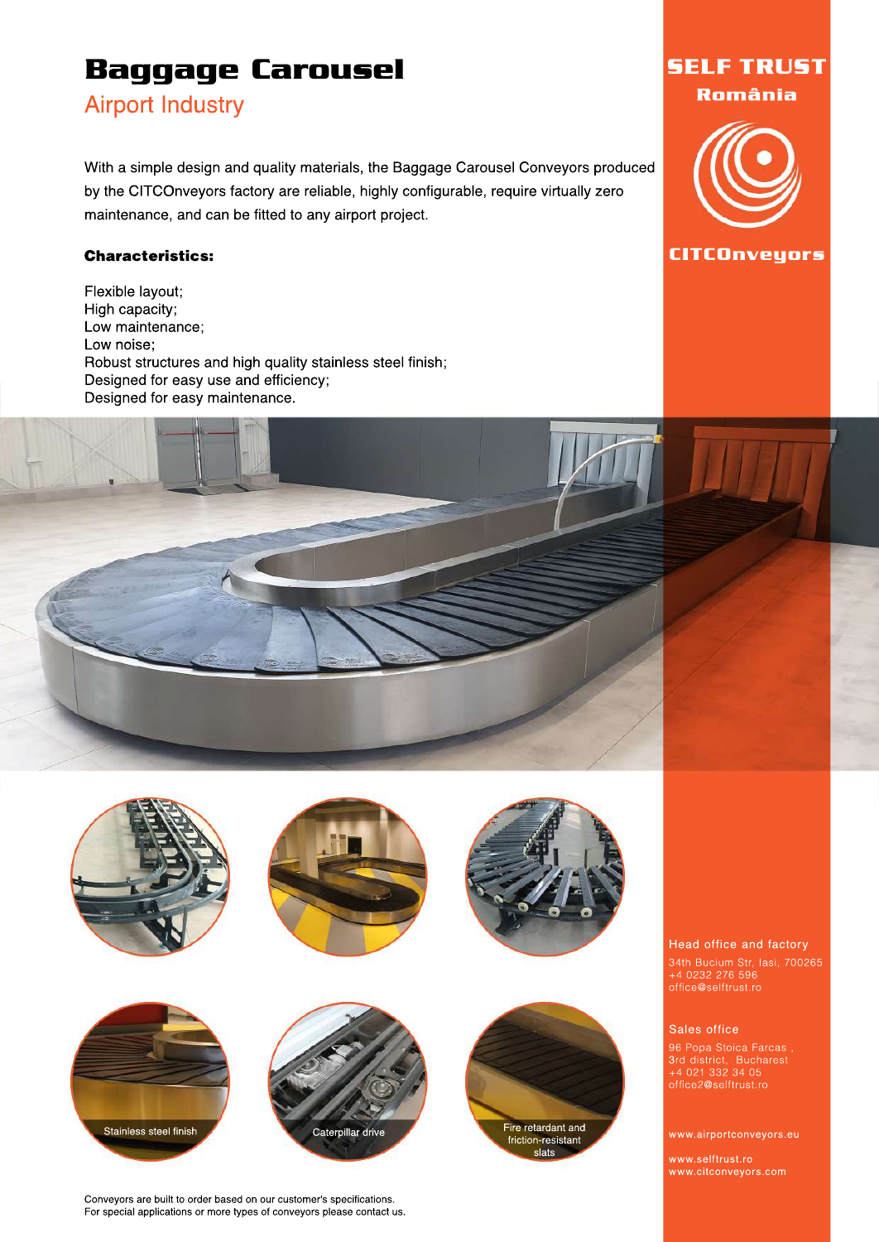## **Airport Industry**

With a simple design and quality materials, the Baggage Carousel Conveyors produced by the CITCOnveyors factory are reliable, highly configurable, require virtually zero maintenance, and can be fitted to any airport project.

#### Characteristics:

Flexible layout; High capacity; Low maintenance; Low noise: Robust structures and high quality stainless steel finish; Designed for easy use and efficiency; Designed for easy maintenance.











**SELFTRUST Rom ânia**

**CITCOnveyors**

Head office and factory

34th Bucium Str, Iasi, 700265 +40232276596 office@selftrust.ro

#### Sales office

96 Popa Stoica Farcas, 3rd district, Bucharest +40213323405

www.airportconveyors.eu

www.selftrust.ro www.citconveyors.com

Conveyors are built to order based on our customer's specifications. For special applications or more types of conveyors please contact us.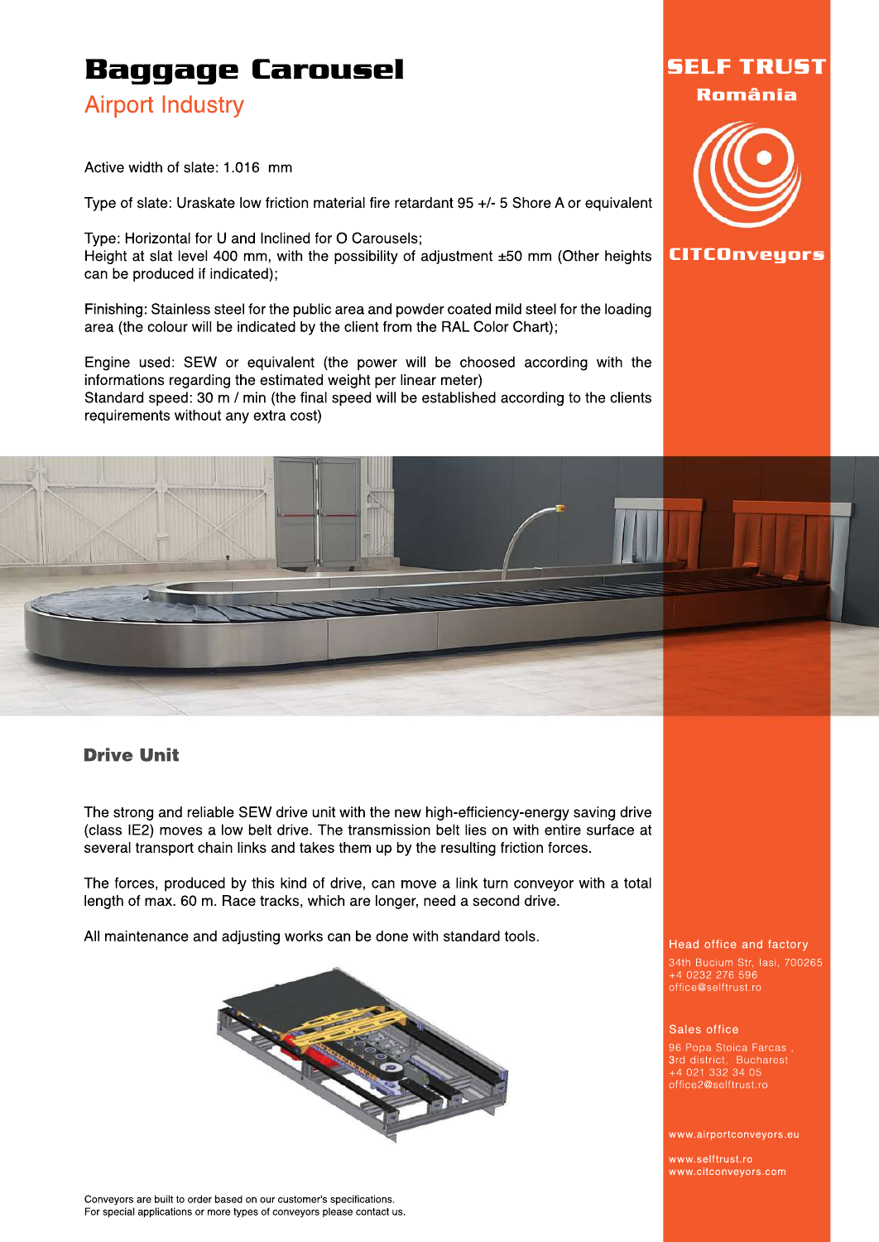### **Airport Industry**

Active width of slate: 1.016 mm

Type of slate: Uraskate low friction material fire retardant 95 +/- 5 Shore A or equivalent

Type: Horizontal for U and Inclined for O Carousels; Height at slat level 400 mm, with the possibility of adjustment ±50 mm (Other heights can be produced if indicated);

Finishing: Stainless steel for the public area and powder coated mild steel for the loading area (the colour will be indicated by the client from the RAL Color Chart);

Engine used: SEW or equivalent (the power will be choosed according with the informations regarding the estimated weight per linear meter) Standard speed: 30 m / min (the final speed will be established according to the clients requirements without any extra cost)



**CITCOnveyors**

**SELFTRUST Rom ânia**

## **Drive Unit**

The strong and reliable SEW drive unit with the new high-efficiency-energy saving drive (class IE2) moves a low belt drive. The transmission belt lies on with entire surface at several transport chain links and takes them up by the resulting friction forces.

The forces, produced by this kind of drive, can move a link turn conveyor with a total length of max. 60 m. Race tracks, which are longer, need a second drive.

All maintenance and adjusting works can be done with standard tools.



#### Conveyors are built to order based on our customer's specifications. For special applications or more types of conveyors please contact us.

#### Head office and factory

34th Bucium Str, Iasi, 700265 +40232276596 office@selftrust.ro

#### Sales office

96 Popa Stoica Farcas, 3rd district, Bucharest +40213323405 office2@selftrust.ro

www.airportconveyors.eu

www.selftrust.ro www.citconveyors.com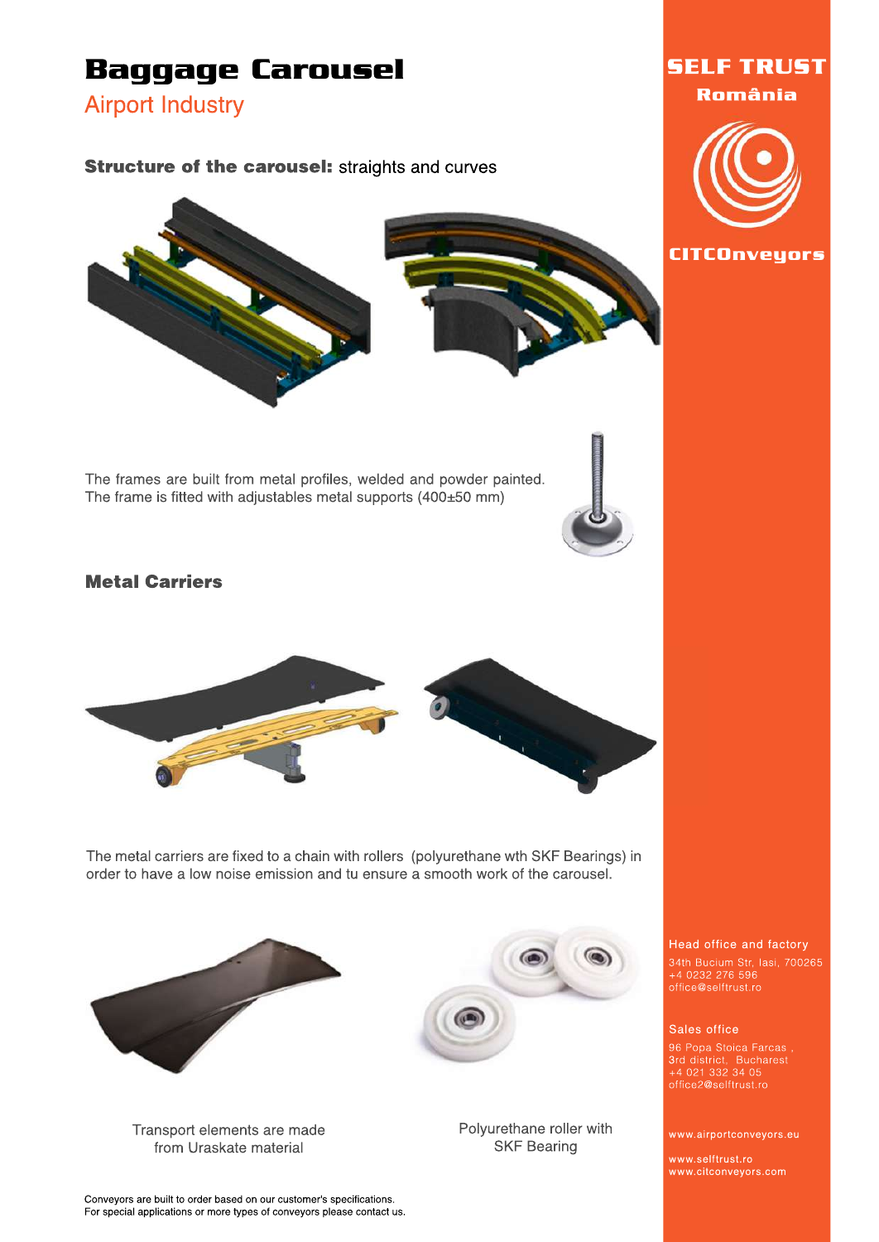

Transport elements are made from Uraskate material

Polyurethane roller with **SKF Bearing** 

www.selftrust.ro www.citconveyors.com

Conveyors are built to order based on our customer's specifications. For special applications or more types of conveyors please contact us.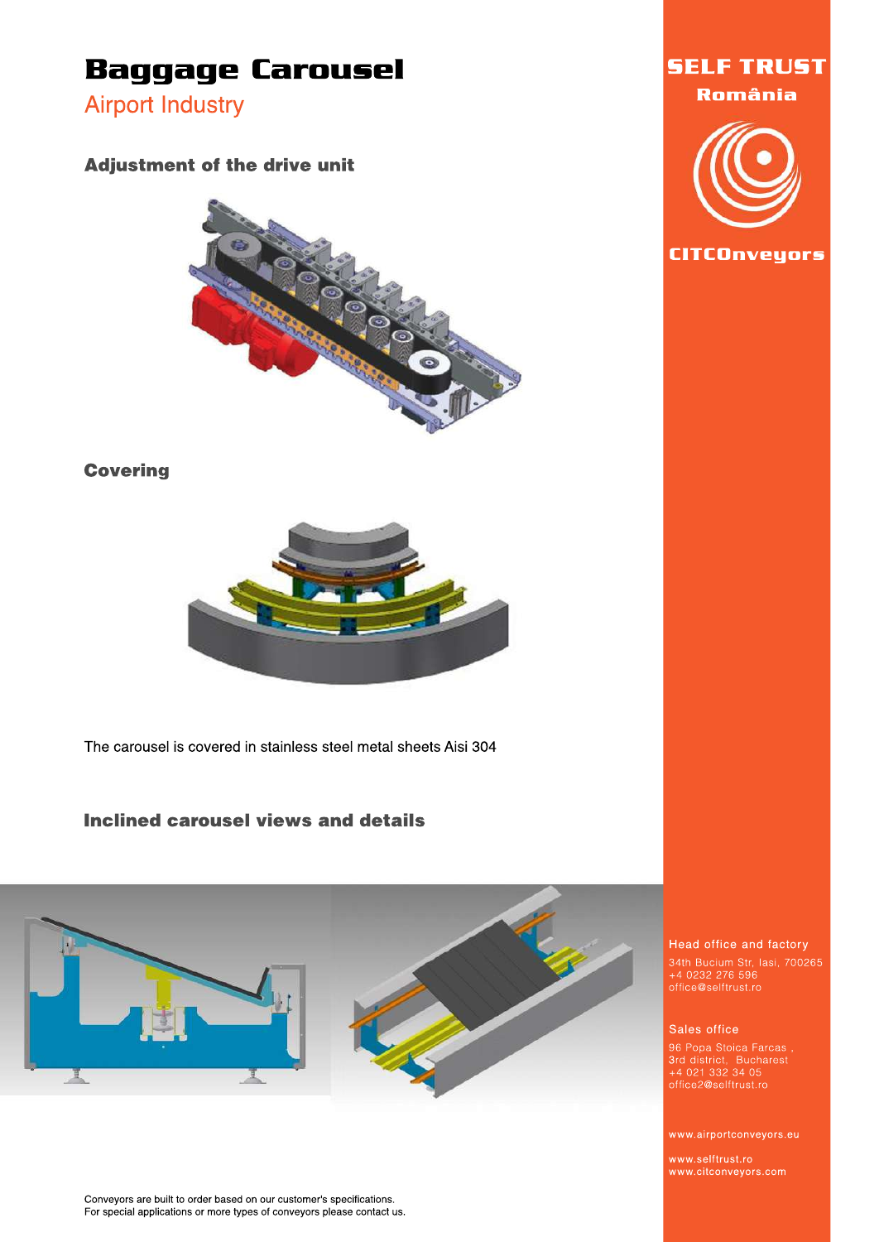**Airport Industry** 

#### **Adjustment of the drive unit**



#### **Covering**



The carousel is covered in stainless steel metal sheets Aisi 304

#### **Inclined carousel views and details**



Conveyors are built to order based on our customer's specifications. For special applications or more types of conveyors please contact us.





#### Head office and factory

34th Bucium Str, Iasi, 700265<br>+4 0232 276 596<br>office@selftrust.ro

#### Sales office

96 Popa Stoica Farcas,<br>3rd district, Bucharest<br>+4 021 332 34 05<br>office2@selftrust.ro

www.airportconveyors.eu

www.selftrust.ro www.citconveyors.com